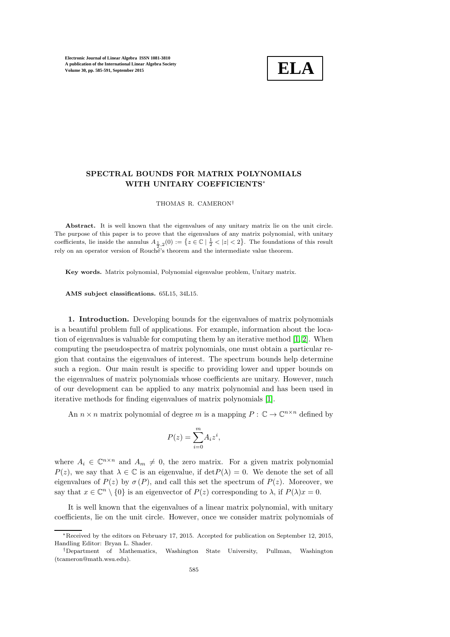

## SPECTRAL BOUNDS FOR MATRIX POLYNOMIALS WITH UNITARY COEFFICIENTS∗

THOMAS R. CAMERON†

Abstract. It is well known that the eigenvalues of any unitary matrix lie on the unit circle. The purpose of this paper is to prove that the eigenvalues of any matrix polynomial, with unitary coefficients, lie inside the annulus  $A_{\frac{1}{2},2}(0) := \{z \in \mathbb{C} \mid \frac{1}{2} < |z| < 2\}$ . The foundations of this result rely on an operator version of Rouché's theorem and the intermediate value theorem.

Key words. Matrix polynomial, Polynomial eigenvalue problem, Unitary matrix.

AMS subject classifications. 65L15, 34L15.

1. Introduction. Developing bounds for the eigenvalues of matrix polynomials is a beautiful problem full of applications. For example, information about the location of eigenvalues is valuable for computing them by an iterative method [\[1,](#page-5-0) [2\]](#page-5-1). When computing the pseudospectra of matrix polynomials, one must obtain a particular region that contains the eigenvalues of interest. The spectrum bounds help determine such a region. Our main result is specific to providing lower and upper bounds on the eigenvalues of matrix polynomials whose coefficients are unitary. However, much of our development can be applied to any matrix polynomial and has been used in iterative methods for finding eigenvalues of matrix polynomials [\[1\]](#page-5-0).

An  $n \times n$  matrix polynomial of degree m is a mapping  $P : \mathbb{C} \to \mathbb{C}^{n \times n}$  defined by

$$
P(z) = \sum_{i=0}^{m} A_i z^i,
$$

where  $A_i \in \mathbb{C}^{n \times n}$  and  $A_m \neq 0$ , the zero matrix. For a given matrix polynomial  $P(z)$ , we say that  $\lambda \in \mathbb{C}$  is an eigenvalue, if  $\det P(\lambda) = 0$ . We denote the set of all eigenvalues of  $P(z)$  by  $\sigma(P)$ , and call this set the spectrum of  $P(z)$ . Moreover, we say that  $x \in \mathbb{C}^n \setminus \{0\}$  is an eigenvector of  $P(z)$  corresponding to  $\lambda$ , if  $P(\lambda)x = 0$ .

It is well known that the eigenvalues of a linear matrix polynomial, with unitary coefficients, lie on the unit circle. However, once we consider matrix polynomials of

<sup>∗</sup>Received by the editors on February 17, 2015. Accepted for publication on September 12, 2015, Handling Editor: Bryan L. Shader.<br>†Department of Mathematics,

<sup>†</sup>Department of Mathematics, Washington State University, Pullman, Washington (tcameron@math.wsu.edu).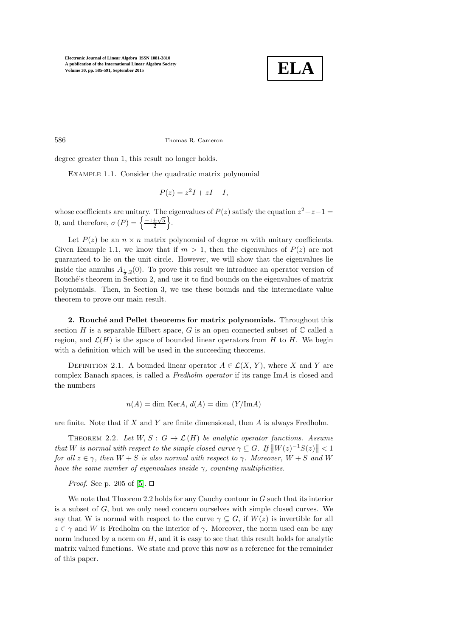

586 Thomas R. Cameron

degree greater than 1, this result no longer holds.

EXAMPLE 1.1. Consider the quadratic matrix polynomial

$$
P(z) = z^2 I + zI - I,
$$

whose coefficients are unitary. The eigenvalues of  $P(z)$  satisfy the equation  $z^2+z-1=$ 0, and therefore,  $\sigma(P) = \left\{ \frac{-1 \pm \sqrt{5}}{2} \right\}$ .

Let  $P(z)$  be an  $n \times n$  matrix polynomial of degree m with unitary coefficients. Given Example 1.1, we know that if  $m > 1$ , then the eigenvalues of  $P(z)$  are not guaranteed to lie on the unit circle. However, we will show that the eigenvalues lie inside the annulus  $A_{\frac{1}{2},2}(0)$ . To prove this result we introduce an operator version of Rouché's theorem in Section 2, and use it to find bounds on the eigenvalues of matrix polynomials. Then, in Section 3, we use these bounds and the intermediate value theorem to prove our main result.

2. Rouché and Pellet theorems for matrix polynomials. Throughout this section H is a separable Hilbert space, G is an open connected subset of  $\mathbb C$  called a region, and  $\mathcal{L}(H)$  is the space of bounded linear operators from H to H. We begin with a definition which will be used in the succeeding theorems.

DEFINITION 2.1. A bounded linear operator  $A \in \mathcal{L}(X, Y)$ , where X and Y are complex Banach spaces, is called a Fredholm operator if its range ImA is closed and the numbers

$$
n(A) = \dim \text{Ker} A, d(A) = \dim (Y/\text{Im} A)
$$

are finite. Note that if  $X$  and  $Y$  are finite dimensional, then  $A$  is always Fredholm.

THEOREM 2.2. Let  $W, S: G \to \mathcal{L}(H)$  be analytic operator functions. Assume that W is normal with respect to the simple closed curve  $\gamma \subseteq G$ . If  $\|W(z)^{-1}S(z)\| < 1$ for all  $z \in \gamma$ , then  $W + S$  is also normal with respect to  $\gamma$ . Moreover,  $W + S$  and W have the same number of eigenvalues inside  $\gamma$ , counting multiplicities.

*Proof.* See p. 205 of [\[5\]](#page-5-2).  $\Box$ 

We note that Theorem 2.2 holds for any Cauchy contour in  $G$  such that its interior is a subset of G, but we only need concern ourselves with simple closed curves. We say that W is normal with respect to the curve  $\gamma \subseteq G$ , if  $W(z)$  is invertible for all  $z \in \gamma$  and W is Fredholm on the interior of  $\gamma$ . Moreover, the norm used can be any norm induced by a norm on  $H$ , and it is easy to see that this result holds for analytic matrix valued functions. We state and prove this now as a reference for the remainder of this paper.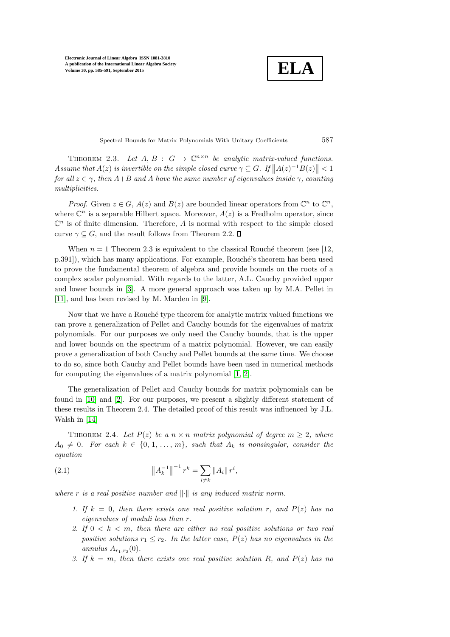$$
\boxed{\textbf{ELA}}
$$

Spectral Bounds for Matrix Polynomials With Unitary Coefficients 587

THEOREM 2.3. Let  $A, B : G \to \mathbb{C}^{n \times n}$  be analytic matrix-valued functions. Assume that  $A(z)$  is invertible on the simple closed curve  $\gamma \subseteq G$ . If  $||A(z)^{-1}B(z)|| < 1$ for all  $z \in \gamma$ , then  $A+B$  and A have the same number of eigenvalues inside  $\gamma$ , counting multiplicities.

*Proof.* Given  $z \in G$ ,  $A(z)$  and  $B(z)$  are bounded linear operators from  $\mathbb{C}^n$  to  $\mathbb{C}^n$ , where  $\mathbb{C}^n$  is a separable Hilbert space. Moreover,  $A(z)$  is a Fredholm operator, since  $\mathbb{C}^n$  is of finite dimension. Therefore, A is normal with respect to the simple closed curve  $\gamma \subseteq G$ , and the result follows from Theorem 2.2.  $\square$ 

When  $n = 1$  Theorem 2.3 is equivalent to the classical Rouché theorem (see [12, p.391]), which has many applications. For example, Rouché's theorem has been used to prove the fundamental theorem of algebra and provide bounds on the roots of a complex scalar polynomial. With regards to the latter, A.L. Cauchy provided upper and lower bounds in [\[3\]](#page-5-3). A more general approach was taken up by M.A. Pellet in [\[11\]](#page-6-0), and has been revised by M. Marden in [\[9\]](#page-6-1).

Now that we have a Rouché type theorem for analytic matrix valued functions we can prove a generalization of Pellet and Cauchy bounds for the eigenvalues of matrix polynomials. For our purposes we only need the Cauchy bounds, that is the upper and lower bounds on the spectrum of a matrix polynomial. However, we can easily prove a generalization of both Cauchy and Pellet bounds at the same time. We choose to do so, since both Cauchy and Pellet bounds have been used in numerical methods for computing the eigenvalues of a matrix polynomial [\[1,](#page-5-0) [2\]](#page-5-1).

The generalization of Pellet and Cauchy bounds for matrix polynomials can be found in [\[10\]](#page-6-2) and [\[2\]](#page-5-1). For our purposes, we present a slightly different statement of these results in Theorem 2.4. The detailed proof of this result was influenced by J.L. Walsh in [\[14\]](#page-6-3)

THEOREM 2.4. Let  $P(z)$  be a  $n \times n$  matrix polynomial of degree  $m \geq 2$ , where  $A_0 \neq 0$ . For each  $k \in \{0, 1, ..., m\}$ , such that  $A_k$  is nonsingular, consider the equation

(2.1) 
$$
\left\|A_k^{-1}\right\|^{-1} r^k = \sum_{i \neq k} \|A_i\| r^i,
$$

where r is a real positive number and  $\|\cdot\|$  is any induced matrix norm.

- 1. If  $k = 0$ , then there exists one real positive solution r, and  $P(z)$  has no eigenvalues of moduli less than r.
- 2. If  $0 < k < m$ , then there are either no real positive solutions or two real positive solutions  $r_1 \leq r_2$ . In the latter case,  $P(z)$  has no eigenvalues in the annulus  $A_{r_1,r_2}(0)$ .
- 3. If  $k = m$ , then there exists one real positive solution R, and  $P(z)$  has no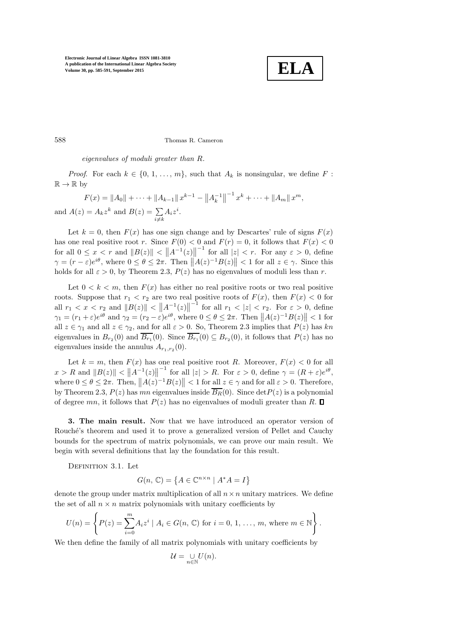

588 Thomas R. Cameron

eigenvalues of moduli greater than R.

*Proof.* For each  $k \in \{0, 1, ..., m\}$ , such that  $A_k$  is nonsingular, we define F:  $\mathbb{R} \to \mathbb{R}$  by

$$
F(x) = ||A_0|| + \dots + ||A_{k-1}||x^{k-1} - ||A_k^{-1}||^{-1}x^k + \dots + ||A_m||x^m,
$$
  
and  $A(z) = A_k z^k$  and  $B(z) = \sum_{i \neq k} A_i z^i$ .

Let  $k = 0$ , then  $F(x)$  has one sign change and by Descartes' rule of signs  $F(x)$ has one real positive root r. Since  $F(0) < 0$  and  $F(r) = 0$ , it follows that  $F(x) < 0$ for all  $0 \le x < r$  and  $||B(z)|| < ||A^{-1}(z)||$  $\begin{cases} -1 \text{ for all } |z| < r. \end{cases}$  For any  $\varepsilon > 0$ , define  $\gamma = (r - \varepsilon)e^{i\theta}$ , where  $0 \le \theta \le 2\pi$ . Then  $||A(z)^{-1}B(z)|| < 1$  for all  $z \in \gamma$ . Since this holds for all  $\varepsilon > 0$ , by Theorem 2.3,  $P(z)$  has no eigenvalues of moduli less than r.

Let  $0 < k < m$ , then  $F(x)$  has either no real positive roots or two real positive roots. Suppose that  $r_1 < r_2$  are two real positive roots of  $F(x)$ , then  $F(x) < 0$  for all  $r_1 < x < r_2$  and  $||B(z)|| < ||A^{-1}(z)||$  $-\frac{1}{r}$  for all  $r_1 < |z| < r_2$ . For  $\varepsilon > 0$ , define  $\gamma_1 = (r_1 + \varepsilon)e^{i\theta}$  and  $\gamma_2 = (r_2 - \varepsilon)e^{i\theta}$ , where  $0 \le \theta \le 2\pi$ . Then  $||A(z)^{-1}B(z)|| < 1$  for all  $z \in \gamma_1$  and all  $z \in \gamma_2$ , and for all  $\varepsilon > 0$ . So, Theorem 2.3 implies that  $P(z)$  has kn eigenvalues in  $B_{r_2}(0)$  and  $B_{r_1}(0)$ . Since  $B_{r_1}(0) \subseteq B_{r_2}(0)$ , it follows that  $P(z)$  has no eigenvalues inside the annulus  $A_{r_1,r_2}(0)$ .

Let  $k = m$ , then  $F(x)$  has one real positive root R. Moreover,  $F(x) < 0$  for all  $x > R$  and  $||B(z)|| < ||A^{-1}(z)||$ <sup>-1</sup> for all  $|z| > R$ . For  $\varepsilon > 0$ , define  $\gamma = (R + \varepsilon)e^{i\theta}$ , where  $0 \le \theta \le 2\pi$ . Then,  $||A(z)^{-1}B(z)|| < 1$  for all  $z \in \gamma$  and for all  $\varepsilon > 0$ . Therefore, by Theorem 2.3,  $P(z)$  has mn eigenvalues inside  $\overline{B_R}(0)$ . Since det $P(z)$  is a polynomial of degree mn, it follows that  $P(z)$  has no eigenvalues of moduli greater than R.  $\Box$ 

3. The main result. Now that we have introduced an operator version of Rouché's theorem and used it to prove a generalized version of Pellet and Cauchy bounds for the spectrum of matrix polynomials, we can prove our main result. We begin with several definitions that lay the foundation for this result.

DEFINITION 3.1. Let

$$
G(n, \mathbb{C}) = \{ A \in \mathbb{C}^{n \times n} \mid A^*A = I \}
$$

denote the group under matrix multiplication of all  $n \times n$  unitary matrices. We define the set of all  $n \times n$  matrix polynomials with unitary coefficients by

$$
U(n) = \left\{ P(z) = \sum_{i=0}^{m} A_i z^i \mid A_i \in G(n, \mathbb{C}) \text{ for } i = 0, 1, ..., m, \text{ where } m \in \mathbb{N} \right\}.
$$

We then define the family of all matrix polynomials with unitary coefficients by

$$
\mathcal{U} = \bigcup_{n \in \mathbb{N}} U(n).
$$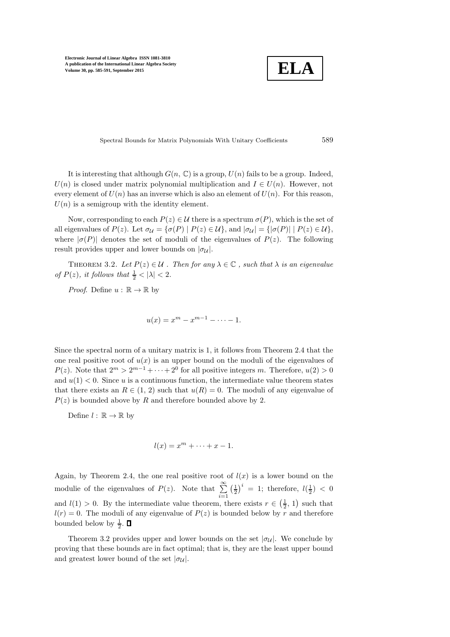

Spectral Bounds for Matrix Polynomials With Unitary Coefficients 589

It is interesting that although  $G(n, \mathbb{C})$  is a group,  $U(n)$  fails to be a group. Indeed,  $U(n)$  is closed under matrix polynomial multiplication and  $I \in U(n)$ . However, not every element of  $U(n)$  has an inverse which is also an element of  $U(n)$ . For this reason,  $U(n)$  is a semigroup with the identity element.

Now, corresponding to each  $P(z) \in \mathcal{U}$  there is a spectrum  $\sigma(P)$ , which is the set of all eigenvalues of  $P(z)$ . Let  $\sigma_{\mathcal{U}} = {\{\sigma(P) | P(z) \in \mathcal{U}\}}$ , and  $|\sigma_{\mathcal{U}}| = {\{\sigma(P) | P(z) \in \mathcal{U}\}}$ , where  $|\sigma(P)|$  denotes the set of moduli of the eigenvalues of  $P(z)$ . The following result provides upper and lower bounds on  $|\sigma_{\mathcal{U}}|$ .

THEOREM 3.2. Let  $P(z) \in U$ . Then for any  $\lambda \in \mathbb{C}$ , such that  $\lambda$  is an eigenvalue of  $P(z)$ , it follows that  $\frac{1}{2} < |\lambda| < 2$ .

*Proof.* Define  $u : \mathbb{R} \to \mathbb{R}$  by

$$
u(x) = x^m - x^{m-1} - \dots - 1.
$$

Since the spectral norm of a unitary matrix is 1, it follows from Theorem 2.4 that the one real positive root of  $u(x)$  is an upper bound on the moduli of the eigenvalues of  $P(z)$ . Note that  $2^m > 2^{m-1} + \cdots + 2^0$  for all positive integers m. Therefore,  $u(2) > 0$ and  $u(1) < 0$ . Since u is a continuous function, the intermediate value theorem states that there exists an  $R \in (1, 2)$  such that  $u(R) = 0$ . The moduli of any eigenvalue of  $P(z)$  is bounded above by R and therefore bounded above by 2.

Define  $l : \mathbb{R} \to \mathbb{R}$  by

$$
l(x) = x^m + \dots + x - 1.
$$

Again, by Theorem 2.4, the one real positive root of  $l(x)$  is a lower bound on the modulie of the eigenvalues of  $P(z)$ . Note that  $\sum_{i=1}^{\infty}$  $\left(\frac{1}{2}\right)^i = 1$ ; therefore,  $l(\frac{1}{2}) < 0$ and  $l(1) > 0$ . By the intermediate value theorem, there exists  $r \in (\frac{1}{2}, 1)$  such that  $l(r) = 0$ . The moduli of any eigenvalue of  $P(z)$  is bounded below by r and therefore bounded below by  $\frac{1}{2}$ .

Theorem 3.2 provides upper and lower bounds on the set  $|\sigma_{\mathcal{U}}|$ . We conclude by proving that these bounds are in fact optimal; that is, they are the least upper bound and greatest lower bound of the set  $|\sigma_{\mathcal{U}}|$ .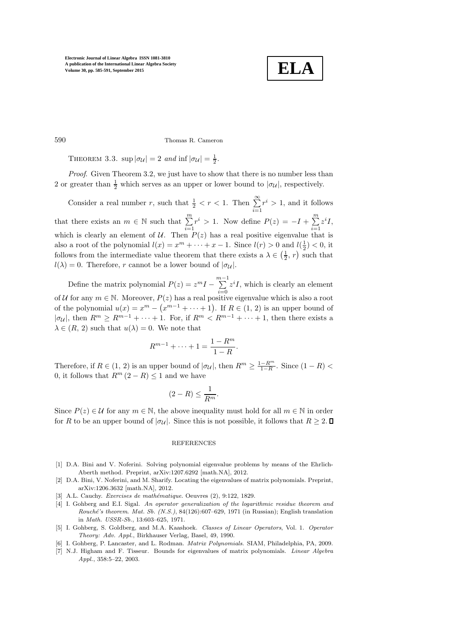

590 Thomas R. Cameron

THEOREM 3.3.  $\sup |\sigma_{\mathcal{U}}| = 2$  and  $\inf |\sigma_{\mathcal{U}}| = \frac{1}{2}$ .

Proof. Given Theorem 3.2, we just have to show that there is no number less than 2 or greater than  $\frac{1}{2}$  which serves as an upper or lower bound to  $|\sigma_{\mathcal{U}}|$ , respectively.

Consider a real number r, such that  $\frac{1}{2} < r < 1$ . Then  $\sum_{i=1}^{\infty} r^i > 1$ , and it follows that there exists an  $m \in \mathbb{N}$  such that  $\sum_{i=1}^{m} r^i > 1$ . Now define  $P(z) = -I + \sum_{i=1}^{m} z^i I$ , which is clearly an element of  $U$ . Then  $P(z)$  has a real positive eigenvalue that is also a root of the polynomial  $l(x) = x^m + \cdots + x - 1$ . Since  $l(r) > 0$  and  $l(\frac{1}{2}) < 0$ , it follows from the intermediate value theorem that there exists a  $\lambda \in (\frac{1}{2}, r)$  such that  $l(\lambda) = 0$ . Therefore, r cannot be a lower bound of  $|\sigma_{\mathcal{U}}|$ .

Define the matrix polynomial  $P(z) = z^m I - \sum_{i=0}^{m-1} z^i I$ , which is clearly an element of U for any  $m \in \mathbb{N}$ . Moreover,  $P(z)$  has a real positive eigenvalue which is also a root of the polynomial  $u(x) = x^m - (x^{m-1} + \cdots + 1)$ . If  $R \in (1, 2)$  is an upper bound of  $|\sigma_{\mathcal{U}}|$ , then  $R^m \geq R^{m-1} + \cdots + 1$ . For, if  $R^m < R^{m-1} + \cdots + 1$ , then there exists a  $\lambda \in (R, 2)$  such that  $u(\lambda) = 0$ . We note that

$$
R^{m-1} + \dots + 1 = \frac{1 - R^m}{1 - R}.
$$

Therefore, if  $R \in (1, 2)$  is an upper bound of  $|\sigma_{\mathcal{U}}|$ , then  $R^m \geq \frac{1-R^m}{1-R}$ . Since  $(1 - R)$ 0, it follows that  $R^m (2 - R) \leq 1$  and we have

$$
(2 - R) \le \frac{1}{R^m}.
$$

Since  $P(z) \in \mathcal{U}$  for any  $m \in \mathbb{N}$ , the above inequality must hold for all  $m \in \mathbb{N}$  in order for R to be an upper bound of  $|\sigma_{\mathcal{U}}|$ . Since this is not possible, it follows that  $R \geq 2$ .

## REFERENCES

- <span id="page-5-0"></span>[1] D.A. Bini and V. Noferini. Solving polynomial eigenvalue problems by means of the Ehrlich-Aberth method. Preprint, arXiv:1207.6292 [math.NA], 2012.
- <span id="page-5-1"></span>[2] D.A. Bini, V. Noferini, and M. Sharify. Locating the eigenvalues of matrix polynomials. Preprint, arXiv:1206.3632 [math.NA], 2012.
- <span id="page-5-3"></span>[3] A.L. Cauchy. Exercises de mathématique. Oeuvres (2), 9:122, 1829.
- [4] I. Gohberg and E.I. Sigal. An operator generalization of the logarithmic residue theorem and Rouché's theorem. Mat. Sb.  $(N.S.)$ , 84(126):607–629, 1971 (in Russian); English translation in Math. USSR-Sb., 13:603–625, 1971.
- <span id="page-5-2"></span>[5] I. Gohberg, S. Goldberg, and M.A. Kaashoek. Classes of Linear Operators, Vol. 1. Operator Theory: Adv. Appl., Birkhauser Verlag, Basel, 49, 1990.
- [6] I. Gohberg, P. Lancaster, and L. Rodman. Matrix Polynomials. SIAM, Philadelphia, PA, 2009.
- [7] N.J. Higham and F. Tisseur. Bounds for eigenvalues of matrix polynomials. Linear Algebra Appl., 358:5–22, 2003.